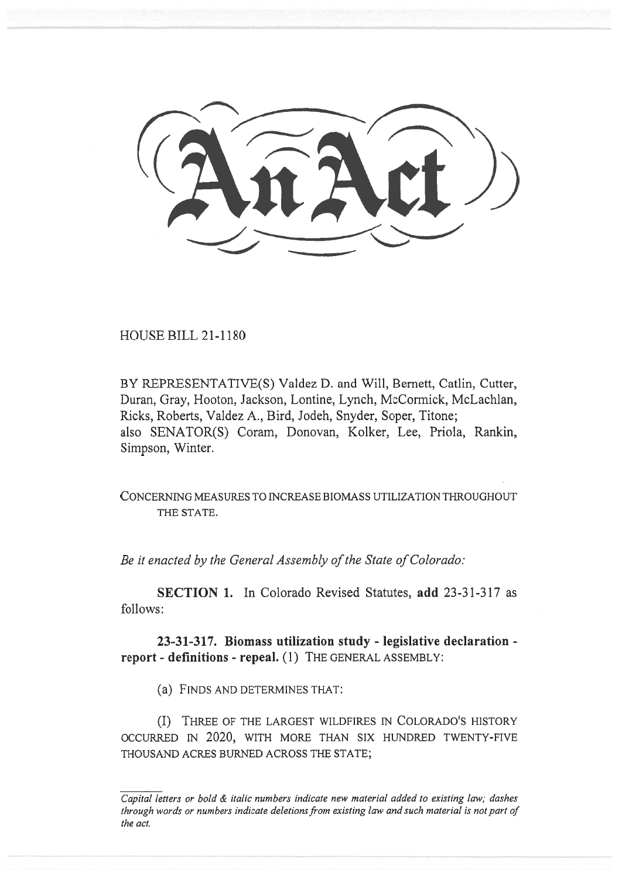HOUSE BILL 21-1180

BY REPRESENTATIVE(S) Valdez D. and Will, Bernett, Catlin, Cutter, Duran, Gray, Hooton, Jackson, Lontine, Lynch, McCormick, McLachlan, Ricks, Roberts, Valdez A., Bird, Jodeh, Snyder, Soper, Titone; also SENATOR(S) Coram, Donovan, Kolker, Lee, Priola, Rankin, Simpson, Winter.

CONCERNING MEASURES TO INCREASE BIOMASS UTILIZATION THROUGHOUT THE STATE.

Be it enacted by the General Assembly of the State of Colorado:

SECTION 1. In Colorado Revised Statutes, add 23-31-317 as follows:

23-31-317. Biomass utilization study - legislative declaration report - definitions - repeal. (1) THE GENERAL ASSEMBLY:

(a) FINDS AND DETERMINES THAT:

(I) THREE OF THE LARGEST WILDFIRES IN COLORADO'S HISTORY OCCURRED IN 2020, WITH MORE THAN SIX HUNDRED TWENTY-FIVE THOUSAND ACRES BURNED ACROSS THE STATE;

 $\overline{Capital}$  letters or bold  $\&$  italic numbers indicate new material added to existing law; dashes through words or numbers indicate deletions from existing law and such material is not part of the act.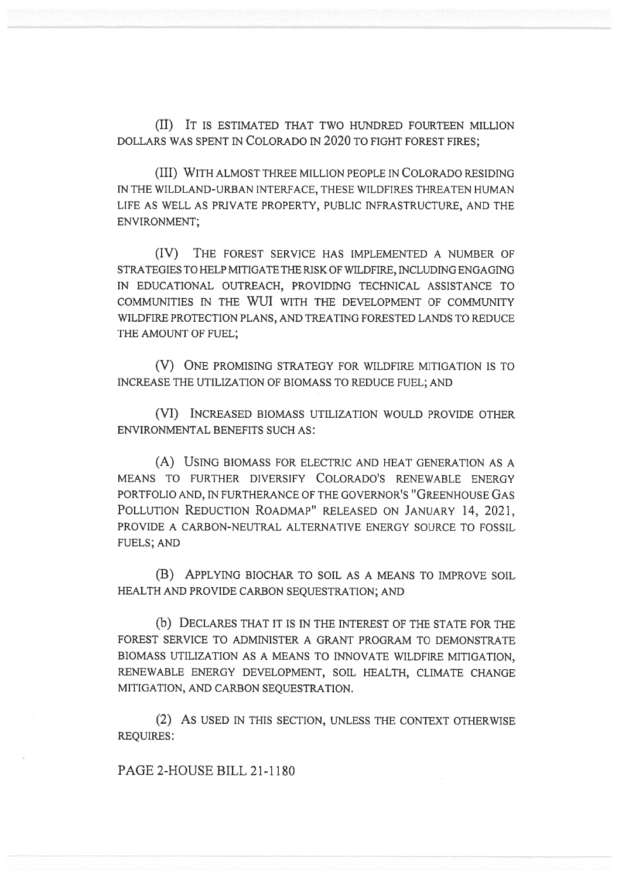(II) IT IS ESTIMATED THAT TWO HUNDRED FOURTEEN MILLION DOLLARS WAS SPENT IN COLORADO IN 2020 TO FIGHT FOREST FIRES;

(III) WITH ALMOST THREE MILLION PEOPLE IN COLORADO RESIDING IN THE WILDLAND-URBAN INTERFACE, THESE WILDFIRES THREATEN HUMAN LIFE AS WELL AS PRIVATE PROPERTY, PUBLIC INFRASTRUCTURE, AND THE ENVIRONMENT;

(IV) THE FOREST SERVICE HAS IMPLEMENTED A NUMBER OF STRATEGIES TO HELP MITIGATE THE RISK OF WILDFIRE, INCLUDING ENGAGING IN EDUCATIONAL OUTREACH, PROVIDING TECHNICAL ASSISTANCE TO COMMUNITIES IN THE WUI WITH THE DEVELOPMENT OF COMMUNITY WILDFIRE PROTECTION PLANS, AND TREATING FORESTED LANDS TO REDUCE THE AMOUNT OF FUEL;

(V) ONE PROMISING STRATEGY FOR WILDFIRE MITIGATION IS TO INCREASE THE UTILIZATION OF BIOMASS TO REDUCE FUEL; AND

(VI) INCREASED BIOMASS UTILIZATION WOULD PROVIDE OTHER ENVIRONMENTAL BENEFITS SUCH AS:

(A) USING BIOMASS FOR ELECTRIC AND HEAT GENERATION AS A MEANS TO FURTHER DIVERSIFY COLORADO'S RENEWABLE ENERGY PORTFOLIO AND, IN FURTHERANCE OF THE GOVERNOR'S "GREENHOUSE GAS POLLUTION REDUCTION ROADMAP" RELEASED ON JANUARY 14, 2021, PROVIDE A CARBON-NEUTRAL ALTERNATIVE ENERGY SOURCE TO FOSSIL FUELS; AND

(B) APPLYING BIOCHAR TO SOIL AS A MEANS TO IMPROVE SOIL HEALTH AND PROVIDE CARBON SEQUESTRATION; AND

(b) DECLARES THAT IT IS IN THE INTEREST OF THE STATE FOR THE FOREST SERVICE TO ADMINISTER A GRANT PROGRAM TO DEMONSTRATE BIOMASS UTILIZATION AS A MEANS TO INNOVATE WILDFIRE MITIGATION, RENEWABLE ENERGY DEVELOPMENT, SOIL HEALTH, CLIMATE CHANGE MITIGATION, AND CARBON SEQUESTRATION.

(2) AS USED IN THIS SECTION, UNLESS THE CONTEXT OTHERWISE REQUIRES:

PAGE 2-HOUSE BILL 21-1180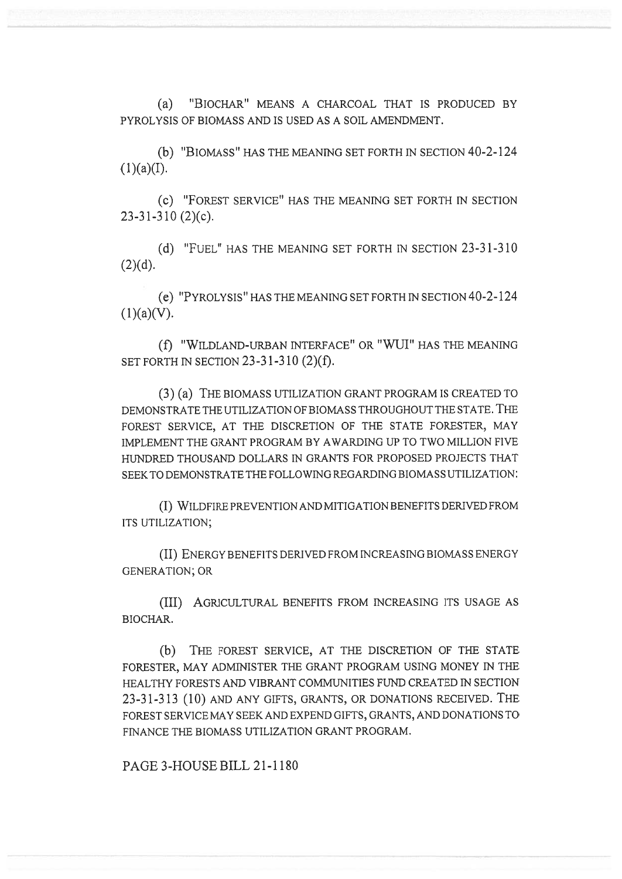(a) "BIOCHAR" MEANS A CHARCOAL THAT IS PRODUCED BY PYROLYSIS OF BIOMASS AND IS USED AS A SOIL AMENDMENT.

(b) "BIOMASS" HAS THE MEANING SET FORTH IN SECTION 40-2-124  $(1)(a)(I).$ 

(C) "FOREST SERVICE" HAS THE MEANING SET FORTH IN SECTION 23-31-310 (2)(c).

(d) "FUEL" HAS THE MEANING SET FORTH IN SECTION 23-31-310  $(2)(d).$ 

(e) "PYROLYSIS" HAS THE MEANING SET FORTH IN SECTION 40-2-124  $(1)(a)(V)$ .

(f) "WILDLAND-URBAN INTERFACE" OR "WUI" HAS THE MEANING SET FORTH IN SECTION 23-31-310 (2)(f).

(3) (a) THE BIOMASS UTILIZATION GRANT PROGRAM IS CREATED TO DEMONSTRATE THE UTILIZATION OF BIOMASS THROUGHOUT THE STATE. THE FOREST SERVICE, AT THE DISCRETION OF THE STATE FORESTER, MAY IMPLEMENT THE GRANT PROGRAM BY AWARDING UP TO TWO MILLION FIVE HUNDRED THOUSAND DOLLARS IN GRANTS FOR PROPOSED PROJECTS THAT SEEK TO DEMONSTRATE THE FOLLOWING REGARDING BIOMASS UTILIZATION:

(I) WILDFIRE PREVENTION AND MITIGATION BENEFITS DERIVED FROM ITS UTILIZATION;

(II) ENERGY BENEFITS DERIVED FROM INCREASING BIOMASS ENERGY GENERATION; OR

(III) AGRICULTURAL BENEFITS FROM INCREASING ITS USAGE AS BIOCHAR.

(b) THE FOREST SERVICE, AT THE DISCRETION OF THE STATE FORESTER, MAY ADMINISTER THE GRANT PROGRAM USING MONEY IN THE HEALTHY FORESTS AND VIBRANT COMMUNITIES FUND CREATED IN SECTION 23-31-313 (10) AND ANY GIFTS, GRANTS, OR DONATIONS RECEIVED. THE FOREST SERVICE MAY SEEK AND EXPEND GIFTS, GRANTS, AND DONATIONS TO FINANCE THE BIOMASS UTILIZATION GRANT PROGRAM.

PAGE 3-HOUSE BILL 21-1180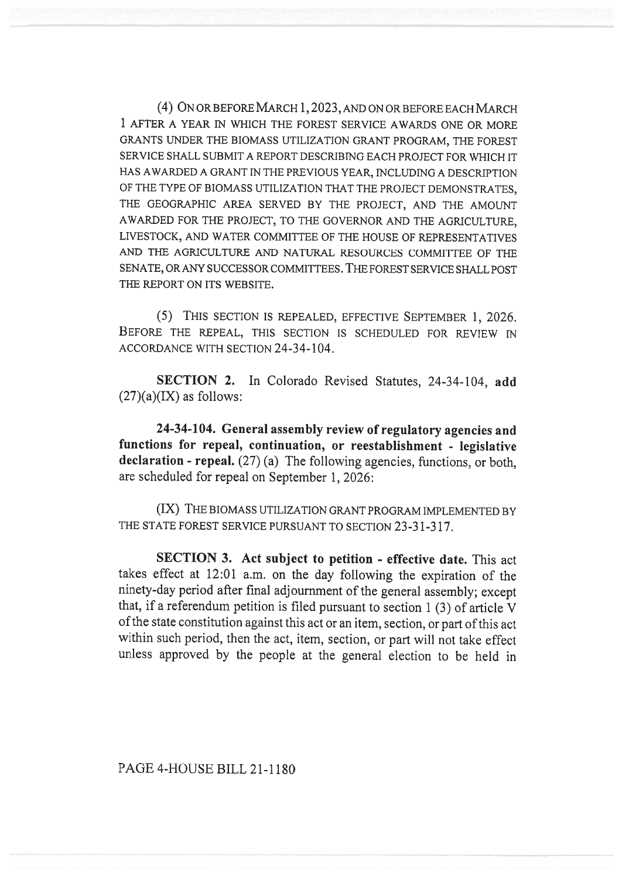(4) ON OR BEFORE MARCH 1, 2023, AND ON OR BEFORE EACH MARCH 1 AFTER A YEAR IN WHICH THE FOREST SERVICE AWARDS ONE OR MORE GRANTS UNDER THE BIOMASS UTILIZATION GRANT PROGRAM, THE FOREST SERVICE SHALL SUBMIT A REPORT DESCRIBING EACH PROJECT FOR WHICH IT HAS AWARDED A GRANT IN THE PREVIOUS YEAR, INCLUDING A DESCRIPTION OF THE TYPE OF BIOMASS UTILIZATION THAT THE PROJECT DEMONSTRATES, THE GEOGRAPHIC AREA SERVED BY THE PROJECT, AND THE AMOUNT AWARDED FOR THE PROJECT, TO THE GOVERNOR AND THE AGRICULTURE, LIVESTOCK, AND WATER COMMITTEE OF THE HOUSE OF REPRESENTATIVES AND THE AGRICULTURE AND NATURAL RESOURCES COMMITTEE OF THE SENATE, OR ANY SUCCESSOR COMMITTEES. THE FOREST SERVICE SHALL POST THE REPORT ON ITS WEBSITE.

(5) THIS SECTION IS REPEALED, EFFECTIVE SEPTEMBER 1, 2026. BEFORE THE REPEAL, THIS SECTION IS SCHEDULED FOR REVIEW IN ACCORDANCE WITH SECTION 24-34-104.

SECTION 2. In Colorado Revised Statutes, 24-34-104, add  $(27)(a)(IX)$  as follows:

24-34-104. General assembly review of regulatory agencies and functions for repeal, continuation, or reestablishment - legislative declaration - repeal. (27) (a) The following agencies, functions, or both, are scheduled for repeal on September 1, 2026:

(IX) THE BIOMASS UTILIZATION GRANT PROGRAM IMPLEMENTED BY THE STATE FOREST SERVICE PURSUANT TO SECTION 23-31-317.

SECTION 3. Act subject to petition - effective date. This act takes effect at 12:01 a.m. on the day following the expiration of the ninety-day period after final adjournment of the general assembly; except that, if a referendum petition is filed pursuant to section 1 (3) of article V of the state constitution against this act or an item, section, or part of this act within such period, then the act, item, section, or part will not take effect unless approved by the people at the general election to be held in

PAGE 4-HOUSE BILL 21-1180